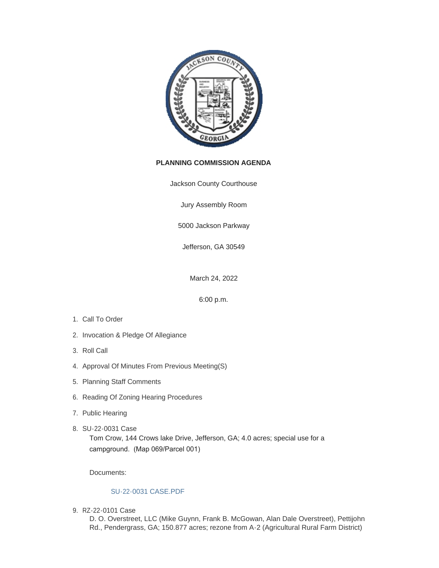

# **PLANNING COMMISSION AGENDA**

Jackson County Courthouse

Jury Assembly Room

5000 Jackson Parkway

Jefferson, GA 30549

March 24, 2022

6:00 p.m.

- 1. Call To Order
- 2. Invocation & Pledge Of Allegiance
- 3. Roll Call
- 4. Approval Of Minutes From Previous Meeting(S)
- 5. Planning Staff Comments
- 6. Reading Of Zoning Hearing Procedures
- 7. Public Hearing
- SU-22-0031 Case 8.

Tom Crow, 144 Crows lake Drive, Jefferson, GA; 4.0 acres; special use for a campground. (Map 069/Parcel 001)

Documents:

### [SU-22-0031 CASE.PDF](http://www.jacksoncountygov.com/AgendaCenter/ViewFile/Item/1716?fileID=12356)

RZ-22-0101 Case 9.

D. O. Overstreet, LLC (Mike Guynn, Frank B. McGowan, Alan Dale Overstreet), Pettijohn Rd., Pendergrass, GA; 150.877 acres; rezone from A-2 (Agricultural Rural Farm District)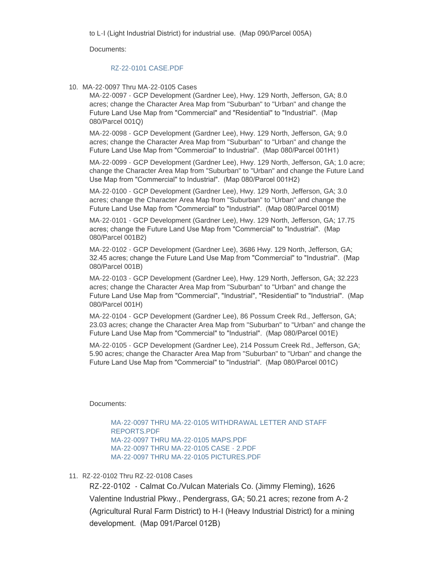to L-I (Light Industrial District) for industrial use. (Map 090/Parcel 005A)

Documents:

#### [RZ-22-0101 CASE.PDF](http://www.jacksoncountygov.com/AgendaCenter/ViewFile/Item/1717?fileID=12357)

MA-22-0097 Thru MA-22-0105 Cases 10.

MA-22-0097 - GCP Development (Gardner Lee), Hwy. 129 North, Jefferson, GA; 8.0 acres; change the Character Area Map from "Suburban" to "Urban" and change the Future Land Use Map from "Commercial" and "Residential" to "Industrial". (Map 080/Parcel 001Q)

MA-22-0098 - GCP Development (Gardner Lee), Hwy. 129 North, Jefferson, GA; 9.0 acres; change the Character Area Map from "Suburban" to "Urban" and change the Future Land Use Map from "Commercial" to Industrial". (Map 080/Parcel 001H1)

MA-22-0099 - GCP Development (Gardner Lee), Hwy. 129 North, Jefferson, GA; 1.0 acre; change the Character Area Map from "Suburban" to "Urban" and change the Future Land Use Map from "Commercial" to Industrial". (Map 080/Parcel 001H2)

MA-22-0100 - GCP Development (Gardner Lee), Hwy. 129 North, Jefferson, GA; 3.0 acres; change the Character Area Map from "Suburban" to "Urban" and change the Future Land Use Map from "Commercial" to "Industrial". (Map 080/Parcel 001M)

MA-22-0101 - GCP Development (Gardner Lee), Hwy. 129 North, Jefferson, GA; 17.75 acres; change the Future Land Use Map from "Commercial" to "Industrial". (Map 080/Parcel 001B2)

MA-22-0102 - GCP Development (Gardner Lee), 3686 Hwy. 129 North, Jefferson, GA; 32.45 acres; change the Future Land Use Map from "Commercial" to "Industrial". (Map 080/Parcel 001B)

MA-22-0103 - GCP Development (Gardner Lee), Hwy. 129 North, Jefferson, GA; 32.223 acres; change the Character Area Map from "Suburban" to "Urban" and change the Future Land Use Map from "Commercial", "Industrial", "Residential" to "Industrial". (Map 080/Parcel 001H)

MA-22-0104 - GCP Development (Gardner Lee), 86 Possum Creek Rd., Jefferson, GA; 23.03 acres; change the Character Area Map from "Suburban" to "Urban" and change the Future Land Use Map from "Commercial" to "Industrial". (Map 080/Parcel 001E)

MA-22-0105 - GCP Development (Gardner Lee), 214 Possum Creek Rd., Jefferson, GA; 5.90 acres; change the Character Area Map from "Suburban" to "Urban" and change the Future Land Use Map from "Commercial" to "Industrial". (Map 080/Parcel 001C)

### Documents:

[MA-22-0097 THRU MA-22-0105 WITHDRAWAL LETTER AND STAFF](http://www.jacksoncountygov.com/AgendaCenter/ViewFile/Item/1718?fileID=12358)  REPORTS.PDF [MA-22-0097 THRU MA-22-0105 MAPS.PDF](http://www.jacksoncountygov.com/AgendaCenter/ViewFile/Item/1718?fileID=12359) [MA-22-0097 THRU MA-22-0105 CASE - 2.PDF](http://www.jacksoncountygov.com/AgendaCenter/ViewFile/Item/1718?fileID=12360) [MA-22-0097 THRU MA-22-0105 PICTURES.PDF](http://www.jacksoncountygov.com/AgendaCenter/ViewFile/Item/1718?fileID=12361)

### 11. RZ-22-0102 Thru RZ-22-0108 Cases

RZ-22-0102 - Calmat Co./Vulcan Materials Co. (Jimmy Fleming), 1626 Valentine Industrial Pkwy., Pendergrass, GA; 50.21 acres; rezone from A-2 (Agricultural Rural Farm District) to H-I (Heavy Industrial District) for a mining development. (Map 091/Parcel 012B)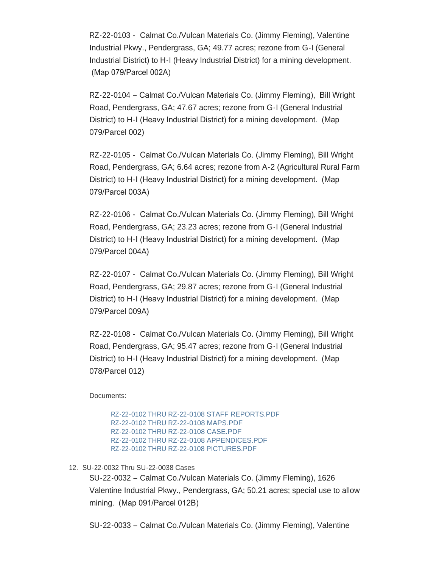RZ-22-0103 - Calmat Co./Vulcan Materials Co. (Jimmy Fleming), Valentine Industrial Pkwy., Pendergrass, GA; 49.77 acres; rezone from G-I (General Industrial District) to H-I (Heavy Industrial District) for a mining development. (Map 079/Parcel 002A)

RZ-22-0104 – Calmat Co./Vulcan Materials Co. (Jimmy Fleming), Bill Wright Road, Pendergrass, GA; 47.67 acres; rezone from G-I (General Industrial District) to H-I (Heavy Industrial District) for a mining development. (Map 079/Parcel 002)

RZ-22-0105 - Calmat Co./Vulcan Materials Co. (Jimmy Fleming), Bill Wright Road, Pendergrass, GA; 6.64 acres; rezone from A-2 (Agricultural Rural Farm District) to H-I (Heavy Industrial District) for a mining development. (Map 079/Parcel 003A)

RZ-22-0106 - Calmat Co./Vulcan Materials Co. (Jimmy Fleming), Bill Wright Road, Pendergrass, GA; 23.23 acres; rezone from G-I (General Industrial District) to H-I (Heavy Industrial District) for a mining development. (Map 079/Parcel 004A)

RZ-22-0107 - Calmat Co./Vulcan Materials Co. (Jimmy Fleming), Bill Wright Road, Pendergrass, GA; 29.87 acres; rezone from G-I (General Industrial District) to H-I (Heavy Industrial District) for a mining development. (Map 079/Parcel 009A)

RZ-22-0108 - Calmat Co./Vulcan Materials Co. (Jimmy Fleming), Bill Wright Road, Pendergrass, GA; 95.47 acres; rezone from G-I (General Industrial District) to H-I (Heavy Industrial District) for a mining development. (Map 078/Parcel 012)

Documents:

[RZ-22-0102 THRU RZ-22-0108 STAFF REPORTS.PDF](http://www.jacksoncountygov.com/AgendaCenter/ViewFile/Item/1719?fileID=12362) [RZ-22-0102 THRU RZ-22-0108 MAPS.PDF](http://www.jacksoncountygov.com/AgendaCenter/ViewFile/Item/1719?fileID=12363) [RZ-22-0102 THRU RZ-22-0108 CASE.PDF](http://www.jacksoncountygov.com/AgendaCenter/ViewFile/Item/1719?fileID=12364) [RZ-22-0102 THRU RZ-22-0108 APPENDICES.PDF](http://www.jacksoncountygov.com/AgendaCenter/ViewFile/Item/1719?fileID=12365) [RZ-22-0102 THRU RZ-22-0108 PICTURES.PDF](http://www.jacksoncountygov.com/AgendaCenter/ViewFile/Item/1719?fileID=12366)

# SU-22-0032 Thru SU-22-0038 Cases 12.

SU-22-0032 – Calmat Co./Vulcan Materials Co. (Jimmy Fleming), 1626 Valentine Industrial Pkwy., Pendergrass, GA; 50.21 acres; special use to allow mining. (Map 091/Parcel 012B)

SU-22-0033 – Calmat Co./Vulcan Materials Co. (Jimmy Fleming), Valentine